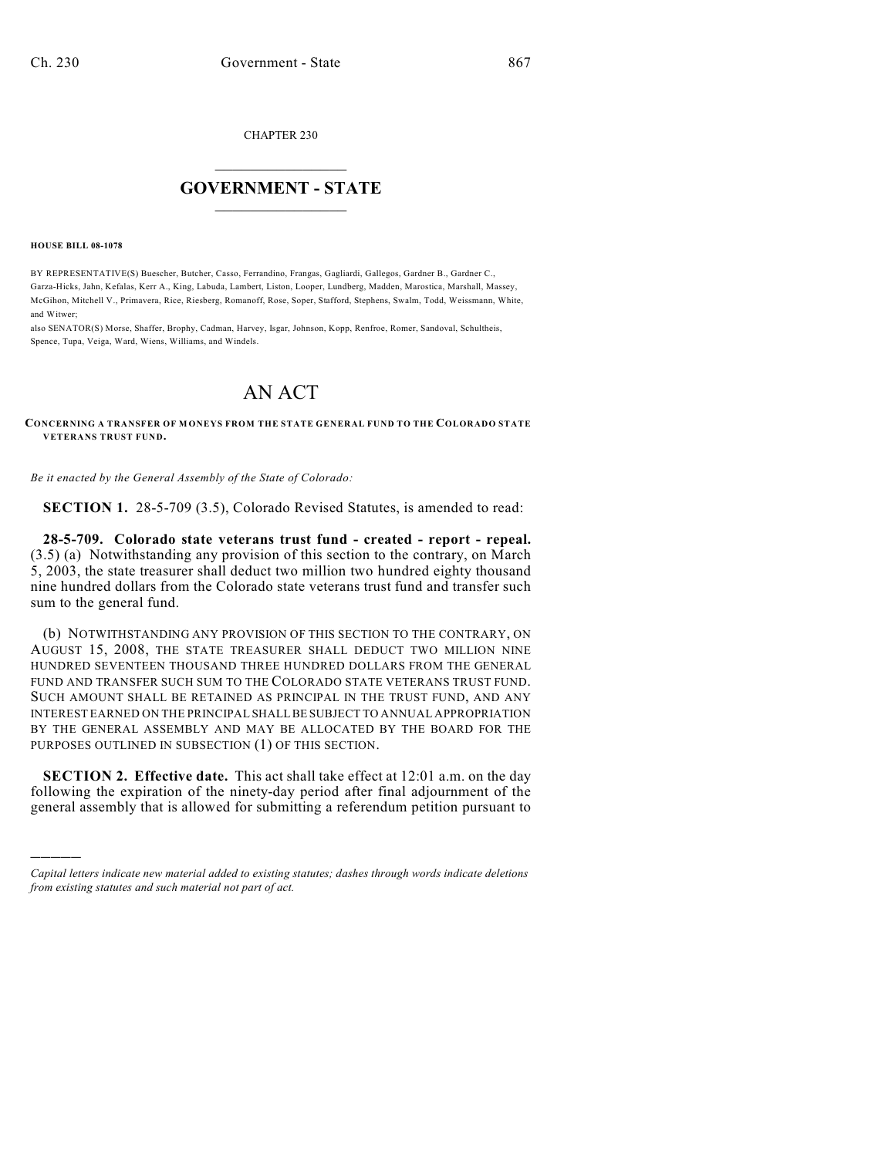CHAPTER 230

## $\overline{\phantom{a}}$  . The set of the set of the set of the set of the set of the set of the set of the set of the set of the set of the set of the set of the set of the set of the set of the set of the set of the set of the set o **GOVERNMENT - STATE**  $\_$

**HOUSE BILL 08-1078**

)))))

BY REPRESENTATIVE(S) Buescher, Butcher, Casso, Ferrandino, Frangas, Gagliardi, Gallegos, Gardner B., Gardner C., Garza-Hicks, Jahn, Kefalas, Kerr A., King, Labuda, Lambert, Liston, Looper, Lundberg, Madden, Marostica, Marshall, Massey, McGihon, Mitchell V., Primavera, Rice, Riesberg, Romanoff, Rose, Soper, Stafford, Stephens, Swalm, Todd, Weissmann, White, and Witwer;

also SENATOR(S) Morse, Shaffer, Brophy, Cadman, Harvey, Isgar, Johnson, Kopp, Renfroe, Romer, Sandoval, Schultheis, Spence, Tupa, Veiga, Ward, Wiens, Williams, and Windels.

## AN ACT

**CONCERNING A TRANSFER OF M ONEYS FROM THE STATE GENERAL FUND TO THE COLORADO STATE VETERANS TRUST FUND.**

*Be it enacted by the General Assembly of the State of Colorado:*

**SECTION 1.** 28-5-709 (3.5), Colorado Revised Statutes, is amended to read:

**28-5-709. Colorado state veterans trust fund - created - report - repeal.** (3.5) (a) Notwithstanding any provision of this section to the contrary, on March 5, 2003, the state treasurer shall deduct two million two hundred eighty thousand nine hundred dollars from the Colorado state veterans trust fund and transfer such sum to the general fund.

(b) NOTWITHSTANDING ANY PROVISION OF THIS SECTION TO THE CONTRARY, ON AUGUST 15, 2008, THE STATE TREASURER SHALL DEDUCT TWO MILLION NINE HUNDRED SEVENTEEN THOUSAND THREE HUNDRED DOLLARS FROM THE GENERAL FUND AND TRANSFER SUCH SUM TO THE COLORADO STATE VETERANS TRUST FUND. SUCH AMOUNT SHALL BE RETAINED AS PRINCIPAL IN THE TRUST FUND, AND ANY INTEREST EARNED ON THE PRINCIPAL SHALL BE SUBJECT TO ANNUAL APPROPRIATION BY THE GENERAL ASSEMBLY AND MAY BE ALLOCATED BY THE BOARD FOR THE PURPOSES OUTLINED IN SUBSECTION (1) OF THIS SECTION.

**SECTION 2. Effective date.** This act shall take effect at 12:01 a.m. on the day following the expiration of the ninety-day period after final adjournment of the general assembly that is allowed for submitting a referendum petition pursuant to

*Capital letters indicate new material added to existing statutes; dashes through words indicate deletions from existing statutes and such material not part of act.*